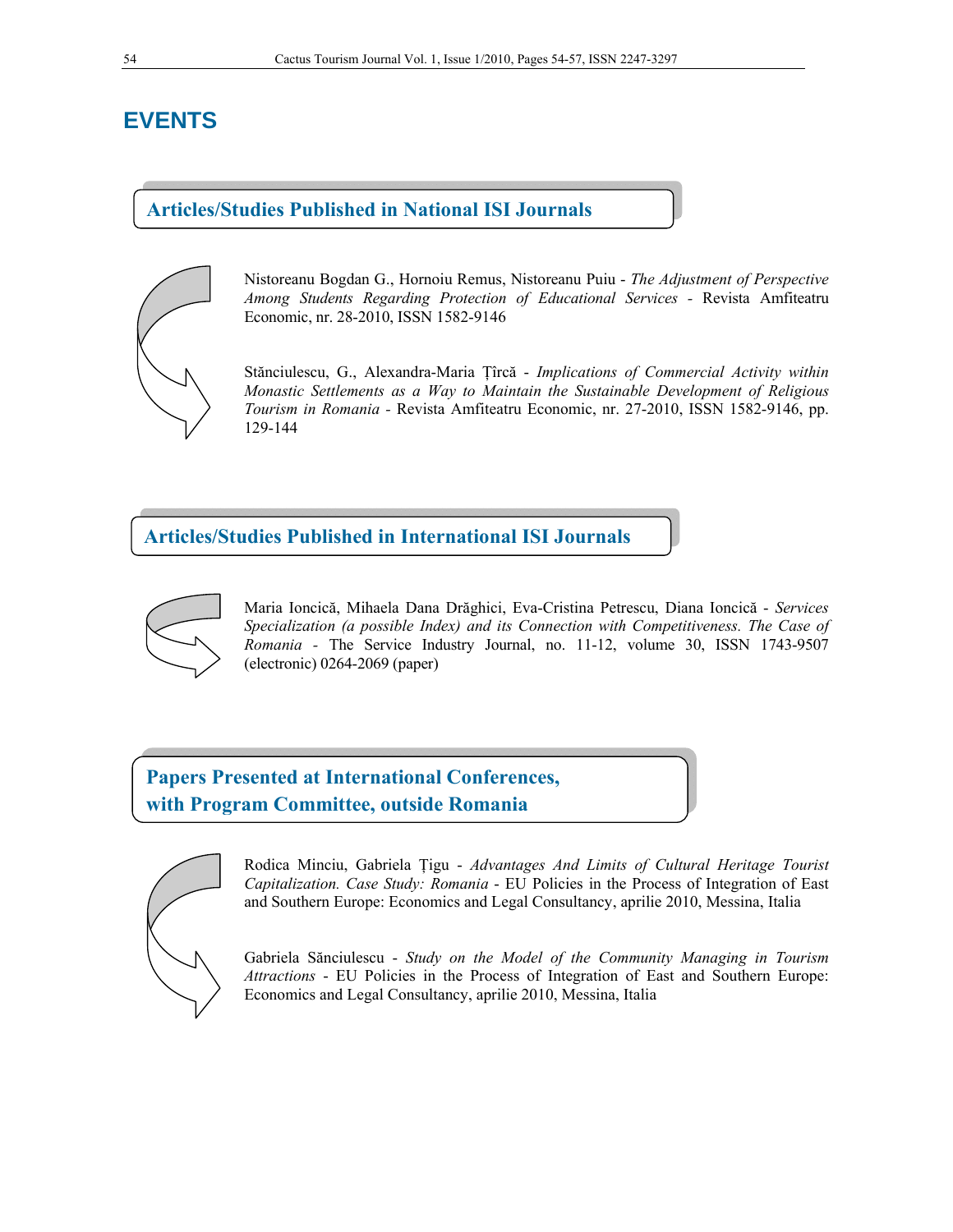# **EVENTS**

### **Articles/Studies Published in National ISI Journals**



Nistoreanu Bogdan G., Hornoiu Remus, Nistoreanu Puiu - *The Adjustment of Perspective Among Students Regarding Protection of Educational Services -* Revista Amfiteatru Economic, nr. 28-2010, ISSN 1582-9146

Stănciulescu, G., Alexandra-Maria Ţîrcă - *Implications of Commercial Activity within Monastic Settlements as a Way to Maintain the Sustainable Development of Religious Tourism in Romania -* Revista Amfiteatru Economic, nr. 27-2010, ISSN 1582-9146, pp. 129-144

**Articles/Studies Published in International ISI Journals** 



Maria Ioncică, Mihaela Dana Drăghici, Eva-Cristina Petrescu, Diana Ioncică - *Services Specialization (a possible Index) and its Connection with Competitiveness. The Case of Romania -* The Service Industry Journal, no. 11-12, volume 30, ISSN 1743-9507 (electronic) 0264-2069 (paper)

**Papers Presented at International Conferences, with Program Committee, outside Romania**



Rodica Minciu, Gabriela Ţigu - *Advantages And Limits of Cultural Heritage Tourist Capitalization. Case Study: Romania* - EU Policies in the Process of Integration of East and Southern Europe: Economics and Legal Consultancy, aprilie 2010, Messina, Italia

Gabriela Sănciulescu - *Study on the Model of the Community Managing in Tourism Attractions* - EU Policies in the Process of Integration of East and Southern Europe: Economics and Legal Consultancy, aprilie 2010, Messina, Italia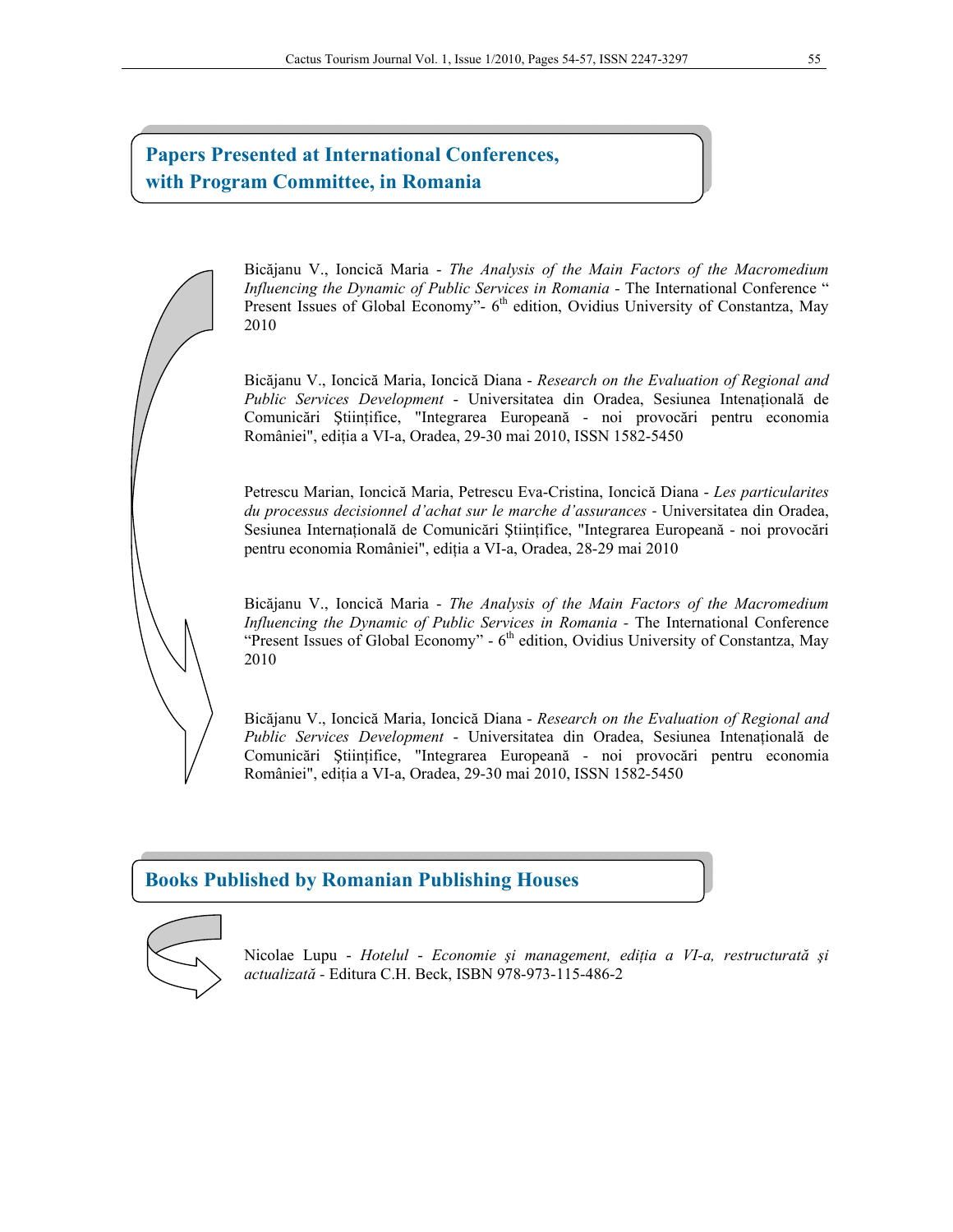## **Papers Presented at International Conferences, with Program Committee, in Romania**

Bicăjanu V., Ioncică Maria - *The Analysis of the Main Factors of the Macromedium Influencing the Dynamic of Public Services in Romania - The International Conference* " Present Issues of Global Economy"- 6<sup>th</sup> edition, Ovidius University of Constantza, May 2010

Bicăjanu V., Ioncică Maria, Ioncică Diana - *Research on the Evaluation of Regional and Public Services Development* - Universitatea din Oradea, Sesiunea Intenaţională de Comunicări Ştiinţifice, "Integrarea Europeană - noi provocări pentru economia României", ediţia a VI-a, Oradea, 29-30 mai 2010, ISSN 1582-5450

Petrescu Marian, Ioncică Maria, Petrescu Eva-Cristina, Ioncică Diana - *Les particularites du processus decisionnel d'achat sur le marche d'assurances* ‐ Universitatea din Oradea, Sesiunea Internaţională de Comunicări Ştiinţifice, "Integrarea Europeană - noi provocări pentru economia României", ediţia a VI-a, Oradea, 28-29 mai 2010

Bicăjanu V., Ioncică Maria - *The Analysis of the Main Factors of the Macromedium Influencing the Dynamic of Public Services in Romania -* The International Conference "Present Issues of Global Economy" -  $6<sup>th</sup>$  edition, Ovidius University of Constantza, May 2010

Bicăjanu V., Ioncică Maria, Ioncică Diana - *Research on the Evaluation of Regional and Public Services Development* - Universitatea din Oradea, Sesiunea Intenaţională de Comunicări Ştiinţifice, "Integrarea Europeană - noi provocări pentru economia României", ediţia a VI-a, Oradea, 29-30 mai 2010, ISSN 1582-5450

### **Books Published by Romanian Publishing Houses**



Nicolae Lupu - *Hotelul* - *Economie şi management, ediţia a VI-a, restructurată şi actualizată -* Editura C.H. Beck, ISBN 978-973-115-486-2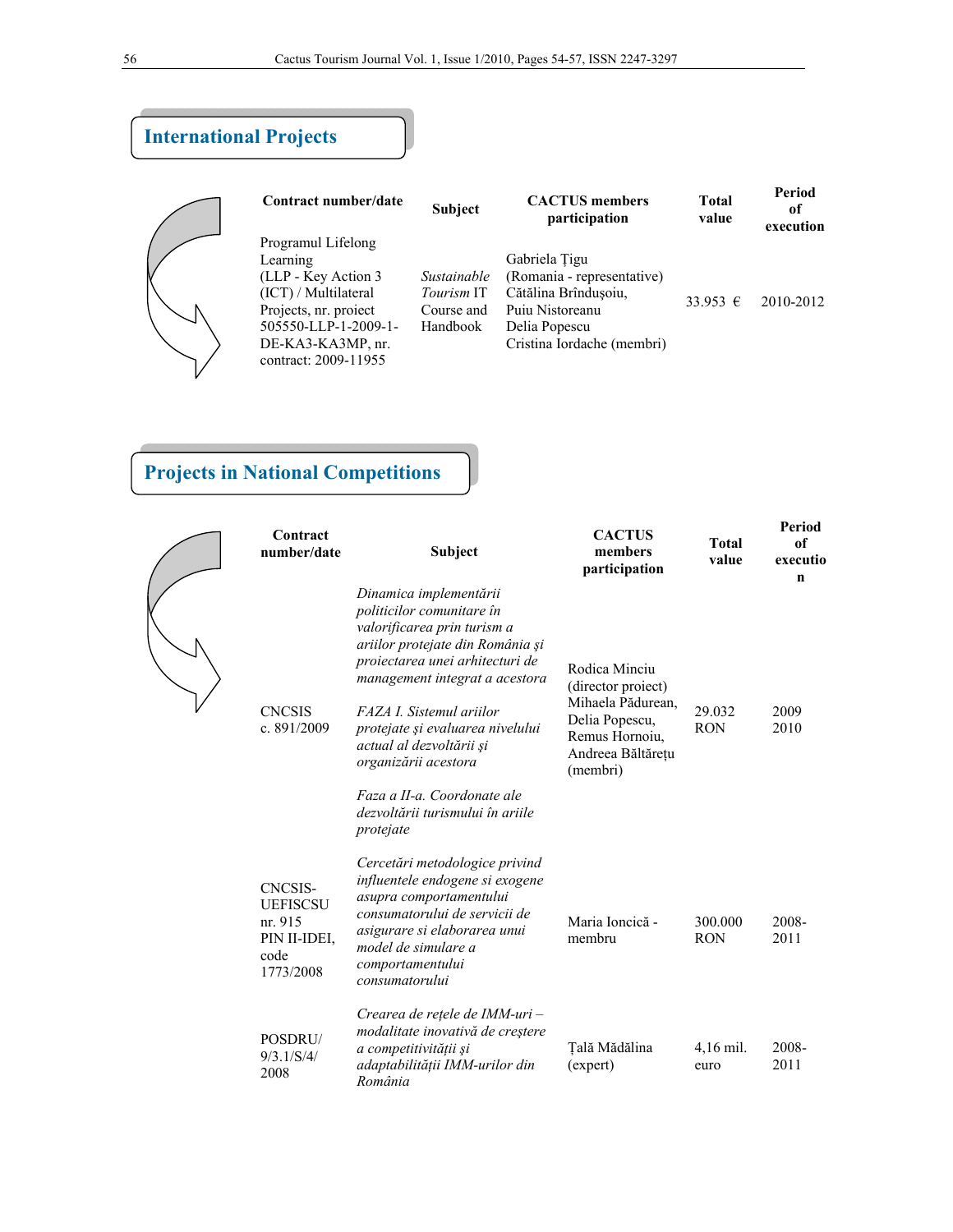| <b>International Projects</b> |                                                                                                                                                                              |                                                            |                                                                                                                                       |                |                           |  |  |  |  |  |
|-------------------------------|------------------------------------------------------------------------------------------------------------------------------------------------------------------------------|------------------------------------------------------------|---------------------------------------------------------------------------------------------------------------------------------------|----------------|---------------------------|--|--|--|--|--|
|                               | Contract number/date                                                                                                                                                         | <b>Subject</b>                                             | <b>CACTUS</b> members<br>participation                                                                                                | Total<br>value | Period<br>of<br>execution |  |  |  |  |  |
|                               | Programul Lifelong<br>Learning<br>(LLP - Key Action 3)<br>(ICT) / Multilateral<br>Projects, nr. project<br>505550-LLP-1-2009-1-<br>DE-KA3-KA3MP, nr.<br>contract: 2009-11955 | Sustainable<br><i>Tourism</i> IT<br>Course and<br>Handbook | Gabriela Tigu<br>(Romania - representative)<br>Cătălina Brîndusoiu,<br>Puju Nistoreanu<br>Delia Popescu<br>Cristina Iordache (membri) | $33.953$ €     | 2010-2012                 |  |  |  |  |  |

# **Projects in National Competitions**

| Contract<br>number/date                                                           | Subject                                                                                                                                                                                                                                                                                                                                                                            | <b>CACTUS</b><br>members<br>participation                                                                                     | <b>Total</b><br>value | Period<br>of<br>executio<br>n |
|-----------------------------------------------------------------------------------|------------------------------------------------------------------------------------------------------------------------------------------------------------------------------------------------------------------------------------------------------------------------------------------------------------------------------------------------------------------------------------|-------------------------------------------------------------------------------------------------------------------------------|-----------------------|-------------------------------|
| <b>CNCSIS</b><br>c. 891/2009                                                      | Dinamica implementării<br>politicilor comunitare în<br>valorificarea prin turism a<br>ariilor protejate din România și<br>proiectarea unei arhitecturi de<br>management integrat a acestora<br>FAZA I. Sistemul ariilor<br>protejate și evaluarea nivelului<br>actual al dezvoltării și<br>organizării acestora<br>Faza a II-a. Coordonate ale<br>dezvoltării turismului în ariile | Rodica Minciu<br>(director proiect)<br>Mihaela Pădurean,<br>Delia Popescu,<br>Remus Hornoiu,<br>Andreea Băltărețu<br>(membri) | 29.032<br><b>RON</b>  | 2009<br>2010                  |
| <b>CNCSIS-</b><br><b>UEFISCSU</b><br>nr. 915<br>PIN II-IDEI,<br>code<br>1773/2008 | protejate<br>Cercetări metodologice privind<br>influentele endogene si exogene<br>asupra comportamentului<br>consumatorului de servicii de<br>asigurare si elaborarea unui<br>model de simulare a<br>comportamentului                                                                                                                                                              | Maria Ioncică -<br>membru                                                                                                     | 300.000<br><b>RON</b> | 2008-<br>2011                 |
| POSDRU/<br>9/3.1/S/4/<br>2008                                                     | consumatorului<br>Crearea de rețele de IMM-uri –<br>modalitate inovativă de creștere<br>a competitivității și<br>adaptabilității IMM-urilor din<br>România                                                                                                                                                                                                                         | Tală Mădălina<br>(expert)                                                                                                     | 4,16 mil.<br>euro     | 2008-<br>2011                 |